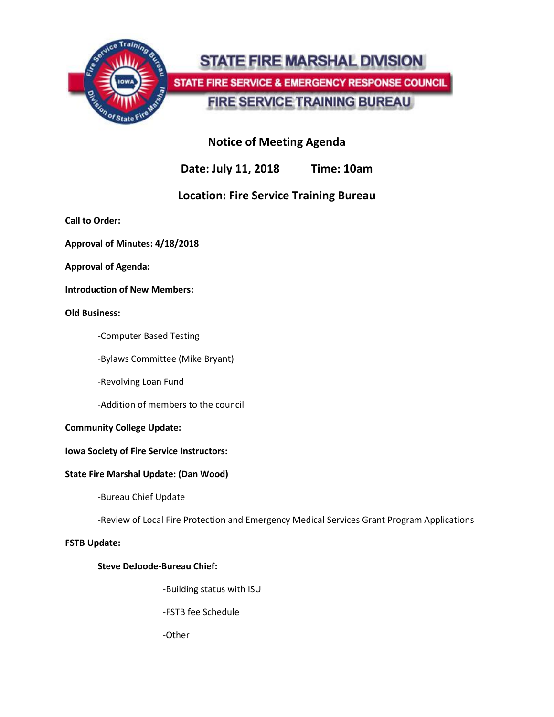

# **STATE FIRE MARSHAL DIVISION** STATE FIRE SERVICE & EMERGENCY RESPONSE COUNCIL

# **FIRE SERVICE TRAINING BUREAU**

## **Notice of Meeting Agenda**

**Date: July 11, 2018 Time: 10am**

## **Location: Fire Service Training Bureau**

**Call to Order:**

**Approval of Minutes: 4/18/2018**

**Approval of Agenda:**

**Introduction of New Members:**

#### **Old Business:**

-Computer Based Testing

-Bylaws Committee (Mike Bryant)

-Revolving Loan Fund

-Addition of members to the council

#### **Community College Update:**

#### **Iowa Society of Fire Service Instructors:**

#### **State Fire Marshal Update: (Dan Wood)**

-Bureau Chief Update

-Review of Local Fire Protection and Emergency Medical Services Grant Program Applications

#### **FSTB Update:**

#### **Steve DeJoode-Bureau Chief:**

-Building status with ISU

-FSTB fee Schedule

-Other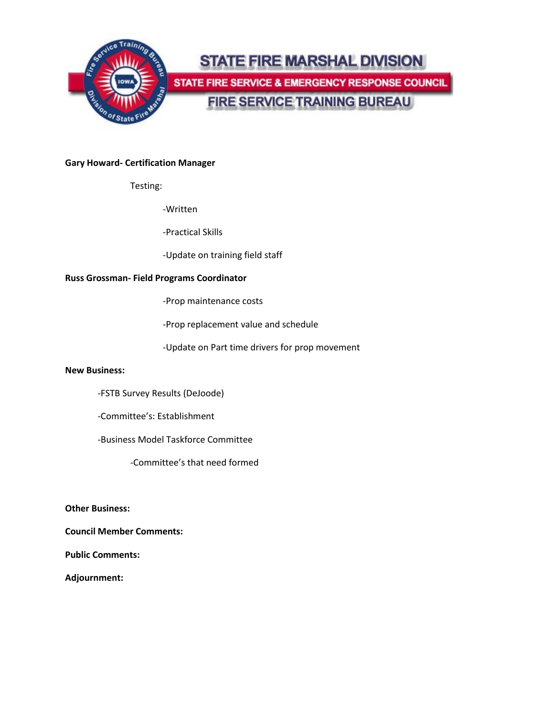

#### **Gary Howard- Certification Manager**

Testing:

-Written

-Practical Skills

-Update on training field staff

#### **Russ Grossman- Field Programs Coordinator**

-Prop maintenance costs

-Prop replacement value and schedule

-Update on Part time drivers for prop movement

#### **New Business:**

-FSTB Survey Results (DeJoode)

-Committee's: Establishment

-Business Model Taskforce Committee

-Committee's that need formed

**Other Business:**

**Council Member Comments:**

**Public Comments:**

**Adjournment:**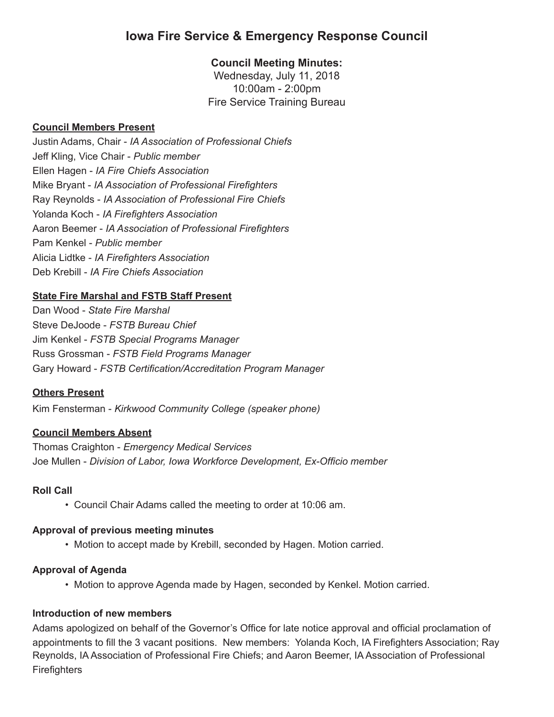## **Iowa Fire Service & Emergency Response Council**

## **Council Meeting Minutes:**

Wednesday, July 11, 2018 10:00am - 2:00pm Fire Service Training Bureau

## **Council Members Present**

Justin Adams, Chair - *IA Association of Professional Chiefs* Jeff Kling, Vice Chair - *Public member* Ellen Hagen - *IA Fire Chiefs Association*  Mike Bryant - *IA Association of Professional Firefighters* Ray Reynolds - *IA Association of Professional Fire Chiefs* Yolanda Koch - *IA Firefighters Association* Aaron Beemer - *IA Association of Professional Firefighters* Pam Kenkel - *Public member* Alicia Lidtke - *IA Firefighters Association* Deb Krebill - *IA Fire Chiefs Association*

## **State Fire Marshal and FSTB Staff Present**

Dan Wood - *State Fire Marshal* Steve DeJoode - *FSTB Bureau Chief* Jim Kenkel - *FSTB Special Programs Manager* Russ Grossman - *FSTB Field Programs Manager* Gary Howard - *FSTB Certification/Accreditation Program Manager*

## **Others Present**

Kim Fensterman - *Kirkwood Community College (speaker phone)*

## **Council Members Absent**

Thomas Craighton - *Emergency Medical Services* Joe Mullen - *Division of Labor, Iowa Workforce Development, Ex-Officio member*

## **Roll Call**

• Council Chair Adams called the meeting to order at 10:06 am.

## **Approval of previous meeting minutes**

• Motion to accept made by Krebill, seconded by Hagen. Motion carried.

## **Approval of Agenda**

• Motion to approve Agenda made by Hagen, seconded by Kenkel. Motion carried.

## **Introduction of new members**

Adams apologized on behalf of the Governor's Office for late notice approval and official proclamation of appointments to fill the 3 vacant positions. New members: Yolanda Koch, IA Firefighters Association; Ray Reynolds, IA Association of Professional Fire Chiefs; and Aaron Beemer, IA Association of Professional **Firefighters**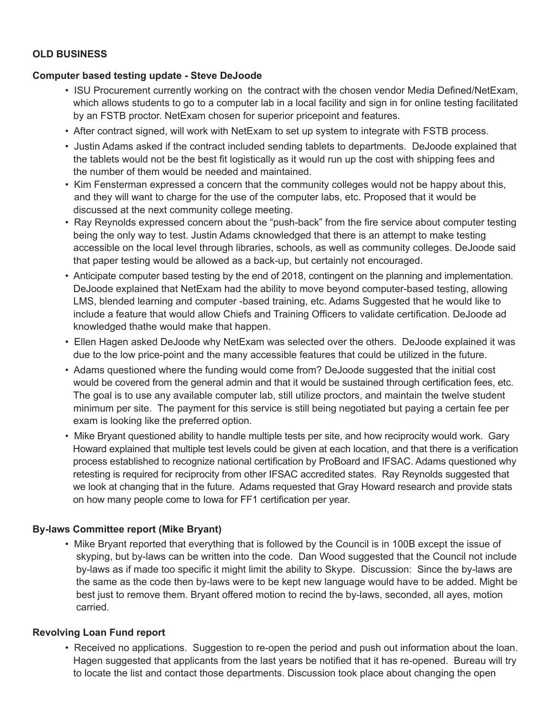## **OLD BUSINESS**

#### **Computer based testing update - Steve DeJoode**

- ISU Procurement currently working on the contract with the chosen vendor Media Defined/NetExam, which allows students to go to a computer lab in a local facility and sign in for online testing facilitated by an FSTB proctor. NetExam chosen for superior pricepoint and features.
- After contract signed, will work with NetExam to set up system to integrate with FSTB process.
- Justin Adams asked if the contract included sending tablets to departments. DeJoode explained that the tablets would not be the best fit logistically as it would run up the cost with shipping fees and the number of them would be needed and maintained.
- Kim Fensterman expressed a concern that the community colleges would not be happy about this, and they will want to charge for the use of the computer labs, etc. Proposed that it would be discussed at the next community college meeting.
- Ray Reynolds expressed concern about the "push-back" from the fire service about computer testing being the only way to test. Justin Adams cknowledged that there is an attempt to make testing accessible on the local level through libraries, schools, as well as community colleges. DeJoode said that paper testing would be allowed as a back-up, but certainly not encouraged.
- Anticipate computer based testing by the end of 2018, contingent on the planning and implementation. DeJoode explained that NetExam had the ability to move beyond computer-based testing, allowing LMS, blended learning and computer -based training, etc. Adams Suggested that he would like to include a feature that would allow Chiefs and Training Officers to validate certification. DeJoode ad knowledged thathe would make that happen.
- Ellen Hagen asked DeJoode why NetExam was selected over the others. DeJoode explained it was due to the low price-point and the many accessible features that could be utilized in the future.
- Adams questioned where the funding would come from? DeJoode suggested that the initial cost would be covered from the general admin and that it would be sustained through certification fees, etc. The goal is to use any available computer lab, still utilize proctors, and maintain the twelve student minimum per site. The payment for this service is still being negotiated but paying a certain fee per exam is looking like the preferred option.
- Mike Bryant questioned ability to handle multiple tests per site, and how reciprocity would work. Gary Howard explained that multiple test levels could be given at each location, and that there is a verification process established to recognize national certification by ProBoard and IFSAC. Adams questioned why retesting is required for reciprocity from other IFSAC accredited states. Ray Reynolds suggested that we look at changing that in the future. Adams requested that Gray Howard research and provide stats on how many people come to Iowa for FF1 certification per year.

#### **By-laws Committee report (Mike Bryant)**

• Mike Bryant reported that everything that is followed by the Council is in 100B except the issue of skyping, but by-laws can be written into the code. Dan Wood suggested that the Council not include by-laws as if made too specific it might limit the ability to Skype. Discussion: Since the by-laws are the same as the code then by-laws were to be kept new language would have to be added. Might be best just to remove them. Bryant offered motion to recind the by-laws, seconded, all ayes, motion carried.

#### **Revolving Loan Fund report**

• Received no applications. Suggestion to re-open the period and push out information about the loan. Hagen suggested that applicants from the last years be notified that it has re-opened. Bureau will try to locate the list and contact those departments. Discussion took place about changing the open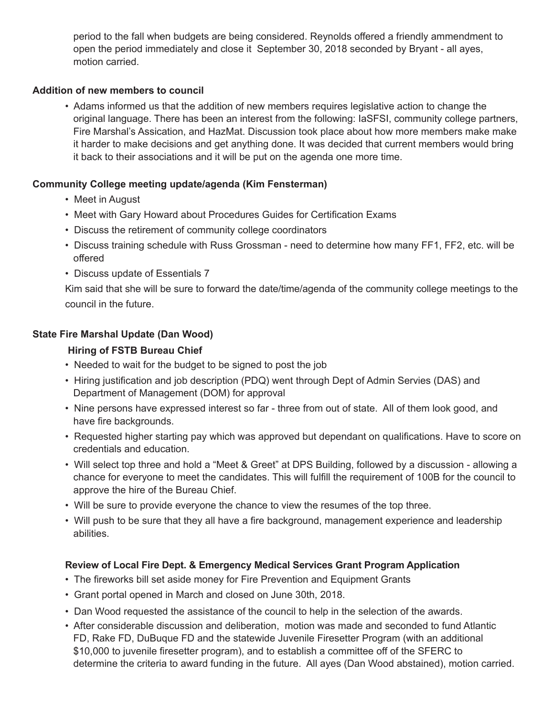period to the fall when budgets are being considered. Reynolds offered a friendly ammendment to open the period immediately and close it September 30, 2018 seconded by Bryant - all ayes, motion carried.

## **Addition of new members to council**

• Adams informed us that the addition of new members requires legislative action to change the original language. There has been an interest from the following: IaSFSI, community college partners, Fire Marshal's Assication, and HazMat. Discussion took place about how more members make make it harder to make decisions and get anything done. It was decided that current members would bring it back to their associations and it will be put on the agenda one more time.

## **Community College meeting update/agenda (Kim Fensterman)**

- Meet in August
- Meet with Gary Howard about Procedures Guides for Certification Exams
- Discuss the retirement of community college coordinators
- Discuss training schedule with Russ Grossman need to determine how many FF1, FF2, etc. will be offered
- Discuss update of Essentials 7

Kim said that she will be sure to forward the date/time/agenda of the community college meetings to the council in the future.

## **State Fire Marshal Update (Dan Wood)**

## **Hiring of FSTB Bureau Chief**

- Needed to wait for the budget to be signed to post the job
- Hiring justification and job description (PDQ) went through Dept of Admin Servies (DAS) and Department of Management (DOM) for approval
- Nine persons have expressed interest so far three from out of state. All of them look good, and have fire backgrounds.
- Requested higher starting pay which was approved but dependant on qualifications. Have to score on credentials and education.
- Will select top three and hold a "Meet & Greet" at DPS Building, followed by a discussion allowing a chance for everyone to meet the candidates. This will fulfill the requirement of 100B for the council to approve the hire of the Bureau Chief.
- Will be sure to provide everyone the chance to view the resumes of the top three.
- Will push to be sure that they all have a fire background, management experience and leadership abilities.

## **Review of Local Fire Dept. & Emergency Medical Services Grant Program Application**

- The fireworks bill set aside money for Fire Prevention and Equipment Grants
- Grant portal opened in March and closed on June 30th, 2018.
- Dan Wood requested the assistance of the council to help in the selection of the awards.
- After considerable discussion and deliberation, motion was made and seconded to fund Atlantic FD, Rake FD, DuBuque FD and the statewide Juvenile Firesetter Program (with an additional \$10,000 to juvenile firesetter program), and to establish a committee off of the SFERC to determine the criteria to award funding in the future. All ayes (Dan Wood abstained), motion carried.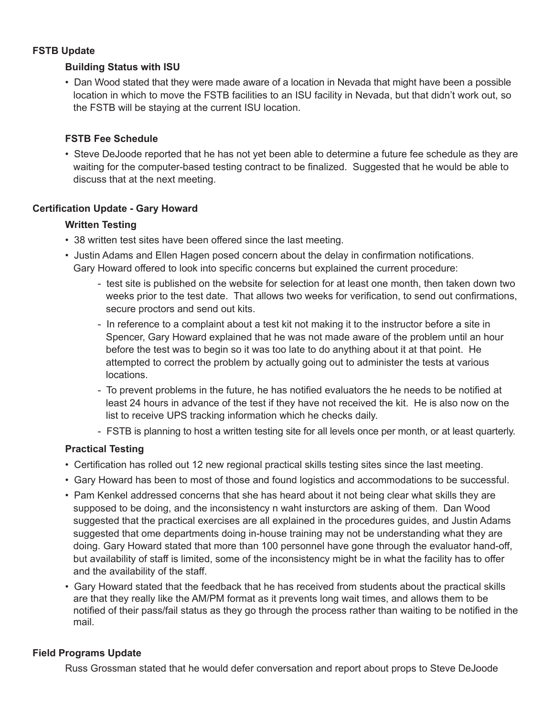#### **FSTB Update**

## **Building Status with ISU**

• Dan Wood stated that they were made aware of a location in Nevada that might have been a possible location in which to move the FSTB facilities to an ISU facility in Nevada, but that didn't work out, so the FSTB will be staying at the current ISU location.

## **FSTB Fee Schedule**

• Steve DeJoode reported that he has not yet been able to determine a future fee schedule as they are waiting for the computer-based testing contract to be finalized. Suggested that he would be able to discuss that at the next meeting.

## **Certification Update - Gary Howard**

#### **Written Testing**

- 38 written test sites have been offered since the last meeting.
- Justin Adams and Ellen Hagen posed concern about the delay in confirmation notifications. Gary Howard offered to look into specific concerns but explained the current procedure:
	- test site is published on the website for selection for at least one month, then taken down two weeks prior to the test date. That allows two weeks for verification, to send out confirmations, secure proctors and send out kits.
	- In reference to a complaint about a test kit not making it to the instructor before a site in Spencer, Gary Howard explained that he was not made aware of the problem until an hour before the test was to begin so it was too late to do anything about it at that point. He attempted to correct the problem by actually going out to administer the tests at various locations.
	- To prevent problems in the future, he has notified evaluators the he needs to be notified at least 24 hours in advance of the test if they have not received the kit. He is also now on the list to receive UPS tracking information which he checks daily.
	- FSTB is planning to host a written testing site for all levels once per month, or at least quarterly.

#### **Practical Testing**

- Certification has rolled out 12 new regional practical skills testing sites since the last meeting.
- Gary Howard has been to most of those and found logistics and accommodations to be successful.
- Pam Kenkel addressed concerns that she has heard about it not being clear what skills they are supposed to be doing, and the inconsistency n waht insturctors are asking of them. Dan Wood suggested that the practical exercises are all explained in the procedures guides, and Justin Adams suggested that ome departments doing in-house training may not be understanding what they are doing. Gary Howard stated that more than 100 personnel have gone through the evaluator hand-off, but availability of staff is limited, some of the inconsistency might be in what the facility has to offer and the availability of the staff.
- Gary Howard stated that the feedback that he has received from students about the practical skills are that they really like the AM/PM format as it prevents long wait times, and allows them to be notified of their pass/fail status as they go through the process rather than waiting to be notified in the mail.

## **Field Programs Update**

Russ Grossman stated that he would defer conversation and report about props to Steve DeJoode